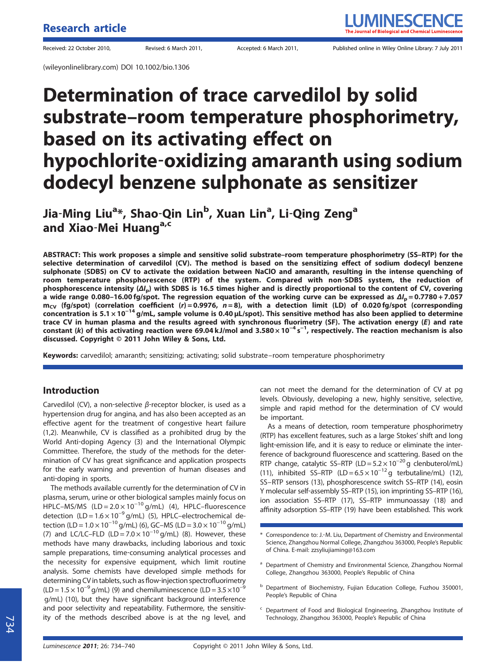(wileyonlinelibrary.com) DOI 10.1002/bio.1306

# Determination of trace carvedilol by solid substrate–room temperature phosphorimetry, based on its activating effect on hypochlorite‐oxidizing amaranth using sodium dodecyl benzene sulphonate as sensitizer

Jia-Ming Liu<sup>a</sup>\*, Shao-Qin Lin<sup>b</sup>, Xuan Lin<sup>a</sup>, Li-Qing Zeng<sup>a</sup> and Xiao-Mei Huang<sup>a,c</sup>

ABSTRACT: This work proposes a simple and sensitive solid substrate–room temperature phosphorimetry (SS–RTP) for the selective determination of carvedilol (CV). The method is based on the sensitizing effect of sodium dodecyl benzene sulphonate (SDBS) on CV to activate the oxidation between NaClO and amaranth, resulting in the intense quenching of room temperature phosphorescence (RTP) of the system. Compared with non‐SDBS system, the reduction of phosphorescence intensity ( $\Delta l_p$ ) with SDBS is 16.5 times higher and is directly proportional to the content of CV, covering a wide range 0.080–16.00 fg/spot. The regression equation of the working curve can be expressed as  $\Delta l_p = 0.7780 + 7.057$  $m_{CV}$  (fg/spot) (correlation coefficient (r)=0.9976, n=8), with a detection limit (LD) of 0.020 fg/spot (corresponding concentration is 5.1 × 10−<sup>14</sup> g/mL, sample volume is 0.40 μL/spot). This sensitive method has also been applied to determine trace CV in human plasma and the results agreed with synchronous fluorimetry (SF). The activation energy (E) and rate constant (k) of this activating reaction were 69.04 kJ/mol and 3.580 × 10<sup>-4</sup> s<sup>-1</sup>, respectively. The reaction mechanism is also discussed. Copyright © 2011 John Wiley & Sons, Ltd.

Keywords: carvedilol; amaranth; sensitizing; activating; solid substrate–room temperature phosphorimetry

### Introduction

Carvedilol (CV), a non-selective  $\beta$ -receptor blocker, is used as a hypertension drug for angina, and has also been accepted as an effective agent for the treatment of congestive heart failure (1,2). Meanwhile, CV is classified as a prohibited drug by the World Anti‐doping Agency (3) and the International Olympic Committee. Therefore, the study of the methods for the determination of CV has great significance and application prospects for the early warning and prevention of human diseases and anti‐doping in sports.

The methods available currently for the determination of CV in plasma, serum, urine or other biological samples mainly focus on HPLC–MS/MS  $(LD = 2.0 \times 10^{-10} g/mL)$  (4), HPLC–fluorescence detection (LD =  $1.6 \times 10^{-9}$  g/mL) (5), HPLC–electrochemical detection (LD =  $1.0 \times 10^{-10}$  g/mL) (6), GC–MS (LD =  $3.0 \times 10^{-10}$  g/mL) (7) and LC/LC–FLD (LD =  $7.0 \times 10^{-10}$  g/mL) (8). However, these methods have many drawbacks, including laborious and toxic sample preparations, time-consuming analytical processes and the necessity for expensive equipment, which limit routine analysis. Some chemists have developed simple methods for determining CV in tablets, such as flow-injection spectrofluorimetry  $(LD = 1.5 \times 10^{-9}$  g/mL) (9) and chemiluminescence (LD = 3.5 × 10<sup>-9</sup> g/mL) (10), but they have significant background interference and poor selectivity and repeatability. Futhermore, the sensitivity of the methods described above is at the ng level, and

can not meet the demand for the determination of CV at pg levels. Obviously, developing a new, highly sensitive, selective, simple and rapid method for the determination of CV would be important.

As a means of detection, room temperature phosphorimetry (RTP) has excellent features, such as a large Stokes' shift and long light-emission life, and it is easy to reduce or eliminate the interference of background fluorescence and scattering. Based on the RTP change, catalytic SS–RTP (LD =  $5.2 \times 10^{-20}$  g clenbuterol/mL) (11), inhibited SS–RTP (LD =  $6.5 \times 10^{-12}$ g terbutaline/mL) (12), SS–RTP sensors (13), phosphorescence switch SS–RTP (14), eosin Y molecular self‐assembly SS–RTP (15), ion imprinting SS–RTP (16), ion association SS–RTP (17), SS–RTP immunoassay (18) and affinity adsorption SS–RTP (19) have been established. This work

- <sup>b</sup> Department of Biochemistry, Fujian Education College, Fuzhou 350001, People's Republic of China
- <sup>c</sup> Department of Food and Biological Engineering, Zhangzhou Institute of Technology, Zhangzhou 363000, People's Republic of China

<sup>\*</sup> Correspondence to: J.‐M. Liu, Department of Chemistry and Environmental Science, Zhangzhou Normal College, Zhangzhou 363000, People's Republic of China. E-mail: zzsyliujiaming@163.com

<sup>&</sup>lt;sup>a</sup> Department of Chemistry and Environmental Science, Zhangzhou Normal College, Zhangzhou 363000, People's Republic of China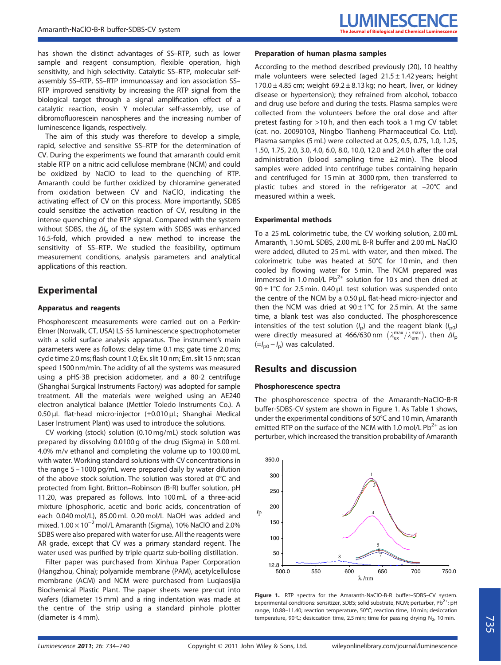has shown the distinct advantages of SS–RTP, such as lower sample and reagent consumption, flexible operation, high sensitivity, and high selectivity. Catalytic SS–RTP, molecular self‐ assembly SS–RTP, SS–RTP immunoassay and ion association SS– RTP improved sensitivity by increasing the RTP signal from the biological target through a signal amplification effect of a catalytic reaction, eosin Y molecular self‐assembly, use of dibromofluorescein nanospheres and the increasing number of luminescence ligands, respectively.

The aim of this study was therefore to develop a simple, rapid, selective and sensitive SS–RTP for the determination of CV. During the experiments we found that amaranth could emit stable RTP on a nitric acid cellulose membrane (NCM) and could be oxidized by NaClO to lead to the quenching of RTP. Amaranth could be further oxidized by chloramine generated from oxidation between CV and NaClO, indicating the activating effect of CV on this process. More importantly, SDBS could sensitize the activation reaction of CV, resulting in the intense quenching of the RTP signal. Compared with the system without SDBS, the  $\Delta l_{\rm p}$  of the system with SDBS was enhanced 16.5‐fold, which provided a new method to increase the sensitivity of SS–RTP. We studied the feasibility, optimum measurement conditions, analysis parameters and analytical applications of this reaction.

## Experimental

#### Apparatus and reagents

Phosphorescent measurements were carried out on a Perkin-Elmer (Norwalk, CT, USA) LS‐55 luminescence spectrophotometer with a solid surface analysis apparatus. The instrument's main parameters were as follows: delay time 0.1 ms; gate time 2.0 ms; cycle time 2.0 ms; flash count 1.0; Ex. slit 10 nm; Em. slit 15 nm; scan speed 1500 nm/min. The acidity of all the systems was measured using a pHS‐3B precision acidometer, and a 80‐2 centrifuge (Shanghai Surgical Instruments Factory) was adopted for sample treatment. All the materials were weighed using an AE240 electron analytical balance (Mettler Toledo Instruments Co.). A 0.50 μL flat‐head micro‐injector (±0.010 μL; Shanghai Medical Laser Instrument Plant) was used to introduce the solutions.

CV working (stock) solution (0.10 mg/mL) stock solution was prepared by dissolving 0.0100 g of the drug (Sigma) in 5.00 mL 4.0% m/v ethanol and completing the volume up to 100.00 mL with water. Working standard solutions with CV concentrations in the range 5 – 1000 pg/mL were prepared daily by water dilution of the above stock solution. The solution was stored at 0°C and protected from light. Britton–Robinson (B‐R) buffer solution, pH 11.20, was prepared as follows. Into 100 mL of a three‐acid mixture (phosphoric, acetic and boric acids, concentration of each 0.040 mol/L), 85.00 mL 0.20 mol/L NaOH was added and mixed.  $1.00 \times 10^{-2}$  mol/L Amaranth (Sigma), 10% NaClO and 2.0% SDBS were also prepared with water for use. All the reagents were AR grade, except that CV was a primary standard regent. The water used was purified by triple quartz sub-boiling distillation.

Filter paper was purchased from Xinhua Paper Corporation (Hangzhou, China); polyamide membrane (PAM), acetylcellulose membrane (ACM) and NCM were purchased from Luqiaosijia Biochemical Plastic Plant. The paper sheets were pre‐cut into wafers (diameter 15 mm) and a ring indentation was made at the centre of the strip using a standard pinhole plotter (diameter is 4 mm).

#### Preparation of human plasma samples

According to the method described previously (20), 10 healthy male volunteers were selected (aged  $21.5 \pm 1.42$  years; height  $170.0 \pm 4.85$  cm; weight  $69.2 \pm 8.13$  kg; no heart, liver, or kidney disease or hypertension); they refrained from alcohol, tobacco and drug use before and during the tests. Plasma samples were collected from the volunteers before the oral dose and after pretest fasting for >10 h, and then each took a 1 mg CV tablet (cat. no. 20090103, Ningbo Tianheng Pharmaceutical Co. Ltd). Plasma samples (5 mL) were collected at 0.25, 0.5, 0.75, 1.0, 1.25, 1.50, 1.75, 2.0, 3.0, 4.0, 6.0, 8.0, 10.0, 12.0 and 24.0 h after the oral administration (blood sampling time  $\pm 2$  min). The blood samples were added into centrifuge tubes containing heparin and centrifuged for 15 min at 3000 rpm, then transferred to plastic tubes and stored in the refrigerator at –20°C and measured within a week.

#### Experimental methods

To a 25 mL colorimetric tube, the CV working solution, 2.00 mL Amaranth, 1.50 mL SDBS, 2.00 mL B‐R buffer and 2.00 mL NaClO were added, diluted to 25 mL with water, and then mixed. The colorimetric tube was heated at 50°C for 10 min, and then cooled by flowing water for 5 min. The NCM prepared was immersed in 1.0 mol/L  $Pb^{2+}$  solution for 10 s and then dried at 90  $\pm$  1°C for 2.5 min. 0.40 µL test solution was suspended onto the centre of the NCM by a 0.50 μL flat-head micro-injector and then the NCM was dried at  $90 \pm 1^{\circ}$ C for 2.5 min. At the same time, a blank test was also conducted. The phosphorescence intensities of the test solution  $(I_p)$  and the reagent blank  $(I_{p0})$ were directly measured at 466/630 nm  $(\lambda_{\text{ex}}^{\text{max}}/\lambda_{\text{em}}^{\text{max}})$ , then  $\Delta I_{\text{p}}$  $(=I<sub>po</sub> - I<sub>p</sub>)$  was calculated.

## Results and discussion

#### Phosphorescence spectra

The phosphorescence spectra of the Amaranth‐NaClO‐B‐R buffer‐SDBS‐CV system are shown in Figure 1. As Table 1 shows, under the experimental conditions of 50°C and 10 min, Amaranth emitted RTP on the surface of the NCM with 1.0 mol/L  $Pb^{2+}$  as ion perturber, which increased the transition probability of Amaranth



Figure 1. RTP spectra for the Amaranth-NaClO-B-R buffer-SDBS-CV system. Experimental conditions: sensitizer, SDBS; solid substrate, NCM; perturber,  $Pb^{2+}$ ; pH range, 10.88–11.40; reaction temperature, 50°C; reaction time, 10 min; desiccation temperature, 90°C; desiccation time, 2.5 min; time for passing drying  $N_2$ , 10 min.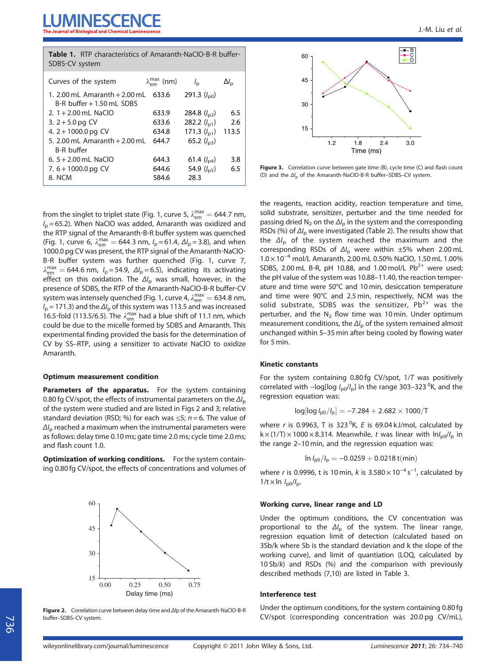| <b>Table 1.</b> RTP characteristics of Amaranth-NaCIO-B-R buffer-<br>SDBS-CV system |                           |                      |                    |  |  |  |  |
|-------------------------------------------------------------------------------------|---------------------------|----------------------|--------------------|--|--|--|--|
| Curves of the system                                                                | $\lambda_{em}^{max}$ (nm) | $l_{\rm p}$          | $\Delta l_{\rm p}$ |  |  |  |  |
| 1. 2.00 mL Amaranth $+ 2.00$ mL<br>B-R buffer + 1.50 mL SDBS                        | 633.6                     | 291.3 $(l_{\rm p0})$ |                    |  |  |  |  |
| 2. $1 + 2.00$ mL NaClO                                                              | 633.9                     | 284.8 $(l_{p2})$     | 6.5                |  |  |  |  |
| 3. $2 + 5.0$ pg CV                                                                  | 633.6                     | 282.2 $(l_{p1})$     | 2.6                |  |  |  |  |
| 4. $2 + 1000.0$ pg CV                                                               | 634.8                     | 171.3 $(l_{p1})$     | 113.5              |  |  |  |  |
| 5. 2.00 mL Amaranth + 2.00 mL<br><b>B-R</b> buffer                                  | 644.7                     | 65.2 $(l_{p3})$      |                    |  |  |  |  |
| 6. $5 + 2.00$ mL NaCIO                                                              | 644.3                     | 61.4 $(l_{p4})$      | 3.8                |  |  |  |  |
| 7. $6 + 1000.0$ pg CV                                                               | 644.6                     | 54.9 $(l_{p5})$      | 6.5                |  |  |  |  |
| 8. NCM                                                                              | 584.6                     | 28.3                 |                    |  |  |  |  |

from the singlet to triplet state (Fig. 1, curve 5,  $\lambda_{em}^{max} = 644.7$  nm,  $I<sub>p</sub>$  = 65.2). When NaClO was added, Amaranth was oxidized and the RTP signal of the Amaranth‐B‐R buffer system was quenched (Fig. 1, curve 6,  $\lambda_{em}^{max} = 644.3$  nm,  $I_p = 61.4$ ,  $\Delta I_p = 3.8$ ), and when 1000.0 pg CV was present, the RTP signal of the Amaranth‐NaClO‐ B‐R buffer system was further quenched (Fig. 1, curve 7,  $\lambda_{\text{em}}^{\text{max}} = 644.6 \text{ nm}, I_p = 54.9, \ \Delta I_p = 6.5$ , indicating its activating effect on this oxidation. The  $\Delta l_{\rm p}$  was small, however, in the presence of SDBS, the RTP of the Amaranth‐NaClO‐B‐R buffer‐CV system was intensely quenched (Fig. 1, curve 4,  $\lambda_{\rm em}^{\rm max} = 634.8$  nm,  $I_p$  = 171.3) and the  $\Delta I_p$  of this system was 113.5 and was increased 16.5-fold (113.5/6.5). The  $\lambda_{em}^{max}$  had a blue shift of 11.1 nm, which could be due to the micelle formed by SDBS and Amaranth. This experimental finding provided the basis for the determination of CV by SS–RTP, using a sensitizer to activate NaClO to oxidize Amaranth.

#### Optimum measurement condition

Parameters of the apparatus. For the system containing 0.80 fg CV/spot, the effects of instrumental parameters on the  $\Delta l_{\rm p}$ of the system were studied and are listed in Figs 2 and 3; relative standard deviation (RSD; %) for each was  $\leq$ 5; n = 6. The value of  $\Delta l_{\rm p}$  reached a maximum when the instrumental parameters were as follows: delay time 0.10 ms; gate time 2.0 ms; cycle time 2.0 ms; and flash count 1.0.

Optimization of working conditions. For the system containing 0.80 fg CV/spot, the effects of concentrations and volumes of



Figure 2. Correlation curve between delay time and Δ/p of the Amaranth-NaClO-B-R buffer–SDBS–CV system.



Figure 3. Correlation curve between gate time (B), cycle time (C) and flash count (D) and the ΔI<sub>p</sub> of the Amaranth-NaClO-B-R buffer–SDBS–CV system.

the reagents, reaction acidity, reaction temperature and time, solid substrate, sensitizer, perturber and the time needed for passing dried N<sub>2</sub> on the  $\Delta l_{\rm o}$  in the system and the corresponding RSDs (%) of  $\Delta l_{\rm p}$  were investigated (Table 2). The results show that the  $\Delta l_p$  of the system reached the maximum and the corresponding RSDs of  $\Delta l_{\rm p}$  were within  $\pm 5\%$  when 2.00 mL 1.0 × 10−<sup>4</sup> mol/L Amaranth, 2.00 mL 0.50% NaClO, 1.50 mL 1.00% SDBS, 2.00 mL B-R, pH 10.88, and 1.00 mol/L  $Pb^{2+}$  were used; the pH value of the system was 10.88–11.40, the reaction temperature and time were 50°C and 10 min, desiccation temperature and time were 90°C and 2.5 min, respectively, NCM was the solid substrate, SDBS was the sensitizer,  $Pb^{2+}$  was the perturber, and the  $N_2$  flow time was 10 min. Under optimum measurement conditions, the  $\Delta l_{\rm p}$  of the system remained almost unchanged within 5–35 min after being cooled by flowing water for 5 min.

#### Kinetic constants

For the system containing 0.80 fg CV/spot, 1/T was positively correlated with  $-$ log[log  $I_{\text{p0}}/I_{\text{p}}$ ] in the range 303–323 <sup>0</sup>K, and the regression equation was:

$$
log[log I_{p0}/I_p] = -7.284 + 2.682 \times 1000/T
$$

where r is 0.9963, T is 323<sup>o</sup>K, E is 69.04 kJ/mol, calculated by  $k \times (1/T) \times 1000 \times 8.314$ . Meanwhile, t was linear with  $lnI_{\text{p0}}/I_{\text{p}}$  in the range 2–10 min, and the regression equation was:

$$
\ln I_{\text{p0}}/I_{\text{p}} = -0.0259 + 0.0218\,t(\text{min})
$$

where r is 0.9996, t is 10 min, k is  $3.580 \times 10^{-4}$  s<sup>-1</sup>, calculated by  $1/t \times \ln I_{\text{p0}}/I_{\text{p}}$ .

#### Working curve, linear range and LD

Under the optimum conditions, the CV concentration was proportional to the  $\Delta l_{\rm p}$  of the system. The linear range, regression equation limit of detection (calculated based on 3Sb/k where Sb is the standard deviation and k the slope of the working curve), and limit of quantiation (LOQ, calculated by 10 Sb/k) and RSDs (%) and the comparison with previously described methods (7,10) are listed in Table 3.

#### Interference test

Under the optimum conditions, for the system containing 0.80 fg CV/spot (corresponding concentration was 20.0 pg CV/mL),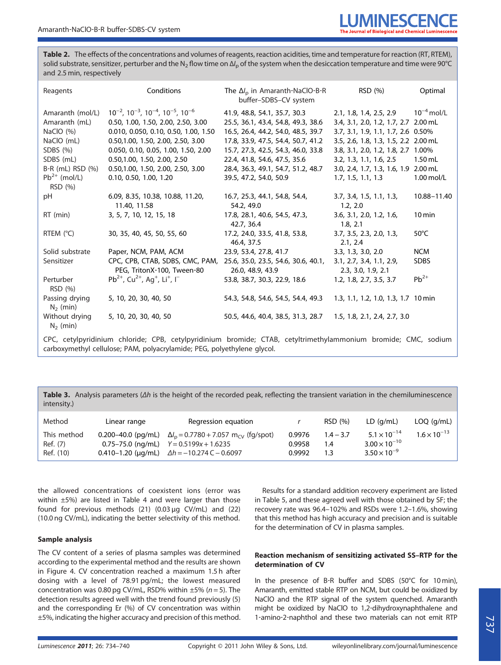Table 2. The effects of the concentrations and volumes of reagents, reaction acidities, time and temperature for reaction (RT, RTEM), solid substrate, sensitizer, perturber and the N<sub>2</sub> flow time on  $\Delta l_p$  of the system when the desiccation temperature and time were 90°C and 2.5 min, respectively

| Reagents                                                                                                 | Conditions                                                                        | The $\Delta l_{\rm p}$ in Amaranth-NaClO-B-R<br>buffer-SDBS-CV system | RSD (%)                              | Optimal             |  |  |
|----------------------------------------------------------------------------------------------------------|-----------------------------------------------------------------------------------|-----------------------------------------------------------------------|--------------------------------------|---------------------|--|--|
| Amaranth (mol/L)                                                                                         | $10^{-2}$ , $10^{-3}$ , $10^{-4}$ , $10^{-5}$ , $10^{-6}$                         | 41.9, 48.8, 54.1, 35.7, 30.3                                          | 2.1, 1.8, 1.4, 2.5, 2.9              | $10^{-4}$ mol/L     |  |  |
| Amaranth (mL)                                                                                            | 0.50, 1.00, 1.50, 2.00, 2.50, 3.00                                                | 25.5, 36.1, 43.4, 54.8, 49.3, 38.6                                    | 3.4, 3.1, 2.0, 1.2, 1.7, 2.7 2.00 mL |                     |  |  |
| NaClO $(\%)$                                                                                             | 0.010, 0.050, 0.10, 0.50, 1.00, 1.50                                              | 16.5, 26.4, 44.2, 54.0, 48.5, 39.7                                    | 3.7, 3.1, 1.9, 1.1, 1.7, 2.6 0.50%   |                     |  |  |
| NaCIO (mL)                                                                                               | 0.50, 1.00, 1.50, 2.00, 2.50, 3.00                                                | 17.8, 33.9, 47.5, 54.4, 50.7, 41.2                                    | 3.5, 2.6, 1.8, 1.3, 1.5, 2.2 2.00 mL |                     |  |  |
| SDBS $(%)$                                                                                               | 0.050, 0.10, 0.05, 1.00, 1.50, 2.00                                               | 15.7, 27.3, 42.5, 54.3, 46.0, 33.8                                    | 3.8, 3.1, 2.0, 1.2, 1.8, 2.7 1.00%   |                     |  |  |
| SDBS (mL)                                                                                                | 0.50,1.00, 1.50, 2.00, 2.50                                                       | 22.4, 41.8, 54.6, 47.5, 35.6                                          | 3.2, 1.3, 1.1, 1.6, 2.5              | $1.50$ mL           |  |  |
| B-R (mL) RSD (%)                                                                                         | 0.50, 1.00, 1.50, 2.00, 2.50, 3.00                                                | 28.4, 36.3, 49.1, 54.7, 51.2, 48.7                                    | 3.0, 2.4, 1.7, 1.3, 1.6, 1.9 2.00 mL |                     |  |  |
| $Pb^{2+}$ (mol/L)                                                                                        | 0.10, 0.50, 1.00, 1.20                                                            | 39.5, 47.2, 54.0, 50.9                                                | 1.7, 1.5, 1.1, 1.3                   | 1.00 mol/L          |  |  |
| RSD (%)                                                                                                  |                                                                                   |                                                                       |                                      |                     |  |  |
| рH                                                                                                       | 6.09, 8.35, 10.38, 10.88, 11.20,                                                  | 16.7, 25.3, 44.1, 54.8, 54.4,                                         | 3.7, 3.4, 1.5, 1.1, 1.3,             | 10.88-11.40         |  |  |
|                                                                                                          | 11.40, 11.58                                                                      | 54.2, 49.0                                                            | 1.2, 2.0                             |                     |  |  |
| RT (min)                                                                                                 | 3, 5, 7, 10, 12, 15, 18                                                           | 17.8, 28.1, 40.6, 54.5, 47.3,                                         | 3.6, 3.1, 2.0, 1.2, 1.6,             | $10 \,\mathrm{min}$ |  |  |
|                                                                                                          |                                                                                   | 42.7, 36.4                                                            | 1.8, 2.1                             |                     |  |  |
| RTEM (°C)                                                                                                | 30, 35, 40, 45, 50, 55, 60                                                        | 17.2, 24.0, 33.5, 41.8, 53.8,                                         | 3.7, 3.5, 2.3, 2.0, 1.3,             | $50^{\circ}$ C      |  |  |
|                                                                                                          |                                                                                   | 46.4, 37.5                                                            | 2.1, 2.4                             |                     |  |  |
| Solid substrate                                                                                          | Paper, NCM, PAM, ACM                                                              | 23.9, 53.4, 27.8, 41.7                                                | 3.3, 1.3, 3.0, 2.0                   | <b>NCM</b>          |  |  |
| Sensitizer                                                                                               | CPC, CPB, CTAB, SDBS, CMC, PAM, 25.6, 35.0, 23.5, 54.6, 30.6, 40.1,               |                                                                       | 3.1, 2.7, 3.4, 1.1, 2.9,             | <b>SDBS</b>         |  |  |
|                                                                                                          | PEG, TritonX-100, Tween-80                                                        | 26.0, 48.9, 43.9                                                      | 2.3, 3.0, 1.9, 2.1                   |                     |  |  |
| Perturber<br>RSD (%)                                                                                     | $Pb^{2+}$ , Cu <sup>2+</sup> , Ag <sup>+</sup> , Li <sup>+</sup> , I <sup>-</sup> | 53.8, 38.7, 30.3, 22.9, 18.6                                          | 1.2, 1.8, 2.7, 3.5, 3.7              | $Pb^{2+}$           |  |  |
| Passing drying<br>$N_2$ (min)                                                                            | 5, 10, 20, 30, 40, 50                                                             | 54.3, 54.8, 54.6, 54.5, 54.4, 49.3                                    | 1.3, 1.1, 1.2, 1.0, 1.3, 1.7 10 min  |                     |  |  |
| Without drying<br>$N_2$ (min)                                                                            | 5, 10, 20, 30, 40, 50                                                             | 50.5, 44.6, 40.4, 38.5, 31.3, 28.7                                    | 1.5, 1.8, 2.1, 2.4, 2.7, 3.0         |                     |  |  |
| CDC catylowidinium chlorido: CDR catylowidinium bromido: CTAR catyltrimathylammonium bromido: CMC sodium |                                                                                   |                                                                       |                                      |                     |  |  |

CPC, cetylpyridinium chloride; CPB, cetylpyridinium bromide; CTAB, cetyltrimethylammonium bromide; CMC, sodium carboxymethyl cellulose; PAM, polyacrylamide; PEG, polyethylene glycol.

Table 3. Analysis parameters  $(\Delta h)$  is the height of the recorded peak, reflecting the transient variation in the chemiluminescence intensity.)

| Method                               | Linear range | Regression equation                                                                                                                                                                            |                            | RSD (%)                   | LD(q/mL)                                                                 | $LOQ$ (g/mL)          |
|--------------------------------------|--------------|------------------------------------------------------------------------------------------------------------------------------------------------------------------------------------------------|----------------------------|---------------------------|--------------------------------------------------------------------------|-----------------------|
| This method<br>Ref. (7)<br>Ref. (10) |              | 0.200–40.0 (pg/mL) $\Delta l_p = 0.7780 + 7.057$ m <sub>cV</sub> (fg/spot)<br>$0.75 - 75.0$ (ng/mL) $Y = 0.5199x + 1.6235$<br>0.410-1.20 ( $\mu$ g/mL) $\Delta h = -10.274 \text{ C} - 0.6097$ | 0.9976<br>0.9958<br>0.9992 | $1.4 - 3.7$<br>1.4<br>1.3 | $5.1 \times 10^{-14}$<br>$3.00 \times 10^{-10}$<br>$3.50 \times 10^{-9}$ | $1.6 \times 10^{-13}$ |

the allowed concentrations of coexistent ions (error was within ±5%) are listed in Table 4 and were larger than those found for previous methods (21) (0.03 µg CV/mL) and (22) (10.0 ng CV/mL), indicating the better selectivity of this method.

#### Sample analysis

The CV content of a series of plasma samples was determined according to the experimental method and the results are shown in Figure 4. CV concentration reached a maximum 1.5 h after dosing with a level of 78.91 pg/mL; the lowest measured concentration was 0.80 pg CV/mL, RSD% within  $\pm$ 5% (n = 5). The detection results agreed well with the trend found previously (5) and the corresponding Er (%) of CV concentration was within ±5%, indicating the higher accuracy and precision of this method.

Results for a standard addition recovery experiment are listed in Table 5, and these agreed well with those obtained by SF; the recovery rate was 96.4–102% and RSDs were 1.2–1.6%, showing that this method has high accuracy and precision and is suitable for the determination of CV in plasma samples.

#### Reaction mechanism of sensitizing activated SS–RTP for the determination of CV

In the presence of B‐R buffer and SDBS (50°C for 10 min), Amaranth, emitted stable RTP on NCM, but could be oxidized by NaClO and the RTP signal of the system quenched. Amaranth might be oxidized by NaClO to 1,2‐dihydroxynaphthalene and 1‐amino‐2‐naphthol and these two materials can not emit RTP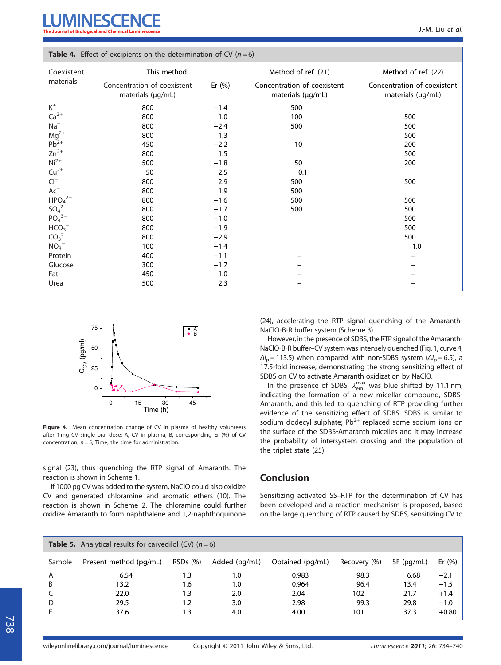| <b>TWOLE</b> $\pi$ . Encer of excipients on the actemnitation of $\epsilon$ ( $n = 0$ ) |                                                  |           |                                                  |                                                  |  |  |
|-----------------------------------------------------------------------------------------|--------------------------------------------------|-----------|--------------------------------------------------|--------------------------------------------------|--|--|
| Coexistent                                                                              | This method                                      |           | Method of ref. (21)                              | Method of ref. (22)                              |  |  |
| materials                                                                               | Concentration of coexistent<br>materials (µg/mL) | Er $(% )$ | Concentration of coexistent<br>materials (µg/mL) | Concentration of coexistent<br>materials (µg/mL) |  |  |
| $\mathsf{K}^+$                                                                          | 800                                              | $-1.4$    | 500                                              |                                                  |  |  |
| $Ca2+$                                                                                  | 800                                              | 1.0       | 100                                              | 500                                              |  |  |
| $Na+$                                                                                   | 800                                              | $-2.4$    | 500                                              | 500                                              |  |  |
| $Mg^{2+}$<br>Pb <sup>2+</sup>                                                           | 800                                              | 1.3       |                                                  | 500                                              |  |  |
|                                                                                         | 450                                              | $-2.2$    | 10                                               | 200                                              |  |  |
| $Zn^{2+}$                                                                               | 800                                              | 1.5       |                                                  | 500                                              |  |  |
| $Ni2+$                                                                                  | 500                                              | $-1.8$    | 50                                               | 200                                              |  |  |
| $Cu2+$                                                                                  | 50                                               | 2.5       | 0.1                                              |                                                  |  |  |
| $Cl^{-}$                                                                                | 800                                              | 2.9       | 500                                              | 500                                              |  |  |
| $\mathsf{Ac}^-$                                                                         | 800                                              | 1.9       | 500                                              |                                                  |  |  |
| HPO <sub>4</sub> <sup>2–</sup>                                                          | 800                                              | $-1.6$    | 500                                              | 500                                              |  |  |
| $SO_4^2$ <sup>-</sup>                                                                   | 800                                              | $-1.7$    | 500                                              | 500                                              |  |  |
| $PO_4^{3-}$                                                                             | 800                                              | $-1.0$    |                                                  | 500                                              |  |  |
| HCO <sub>3</sub>                                                                        | 800                                              | $-1.9$    |                                                  | 500                                              |  |  |
| $CO32-$                                                                                 | 800                                              | $-2.9$    |                                                  | 500                                              |  |  |
| $NO3-$                                                                                  | 100                                              | $-1.4$    |                                                  | 1.0                                              |  |  |
| Protein                                                                                 | 400                                              | $-1.1$    |                                                  |                                                  |  |  |
| Glucose                                                                                 | 300                                              | $-1.7$    |                                                  |                                                  |  |  |
| Fat                                                                                     | 450                                              | 1.0       |                                                  |                                                  |  |  |
| Urea                                                                                    | 500                                              | 2.3       |                                                  |                                                  |  |  |

**Table 4.** Effect of excipients on the determination of  $CV(n-6)$ 



Figure 4. Mean concentration change of CV in plasma of healthy volunteers after 1 mg CV single oral dose; A, CV in plasma; B, corresponding Er (%) of CV concentration;  $n = 5$ ; Time, the time for administration.

signal (23), thus quenching the RTP signal of Amaranth. The reaction is shown in Scheme 1.

If 1000 pg CV was added to the system, NaClO could also oxidize CV and generated chloramine and aromatic ethers (10). The reaction is shown in Scheme 2. The chloramine could further oxidize Amaranth to form naphthalene and 1,2‐naphthoquinone (24), accelerating the RTP signal quenching of the Amaranth‐ NaClO‐B‐R buffer system (Scheme 3).

However, in the presence of SDBS, the RTP signal of the Amaranth‐ NaClO‐B‐R buffer–CV system was intensely quenched (Fig. 1, curve 4,  $\Delta l_{\text{p}}$  = 113.5) when compared with non-SDBS system ( $\Delta l_{\text{p}}$  = 6.5), a 17.5‐fold increase, demonstrating the strong sensitizing effect of SDBS on CV to activate Amaranth oxidization by NaClO.

In the presence of SDBS,  $\lambda_{em}^{max}$  was blue shifted by 11.1 nm, indicating the formation of a new micellar compound, SDBS‐ Amaranth, and this led to quenching of RTP providing further evidence of the sensitizing effect of SDBS. SDBS is similar to sodium dodecyl sulphate;  $Pb^{2+}$  replaced some sodium ions on the surface of the SDBS‐Amaranth micelles and it may increase the probability of intersystem crossing and the population of the triplet state (25).

## Conclusion

Sensitizing activated SS–RTP for the determination of CV has been developed and a reaction mechanism is proposed, based on the large quenching of RTP caused by SDBS, sensitizing CV to

|        | <b>Table 5.</b> Analytical results for carvedilol (CV) $(n=6)$ |         |               |                  |              |              |           |
|--------|----------------------------------------------------------------|---------|---------------|------------------|--------------|--------------|-----------|
| Sample | Present method (pg/mL)                                         | RSDs(%) | Added (pg/mL) | Obtained (pg/mL) | Recovery (%) | $SF$ (pg/mL) | Er $(% )$ |
| A      | 6.54                                                           | 1.3     | 1.0           | 0.983            | 98.3         | 6.68         | $-2.1$    |
| B      | 13.2                                                           | 1.6     | 1.0           | 0.964            | 96.4         | 13.4         | $-1.5$    |
|        | 22.0                                                           | 1.3     | 2.0           | 2.04             | 102          | 21.7         | $+1.4$    |
| D      | 29.5                                                           | 1.2     | 3.0           | 2.98             | 99.3         | 29.8         | $-1.0$    |
|        | 37.6                                                           | 1.3     | 4.0           | 4.00             | 101          | 37.3         | $+0.80$   |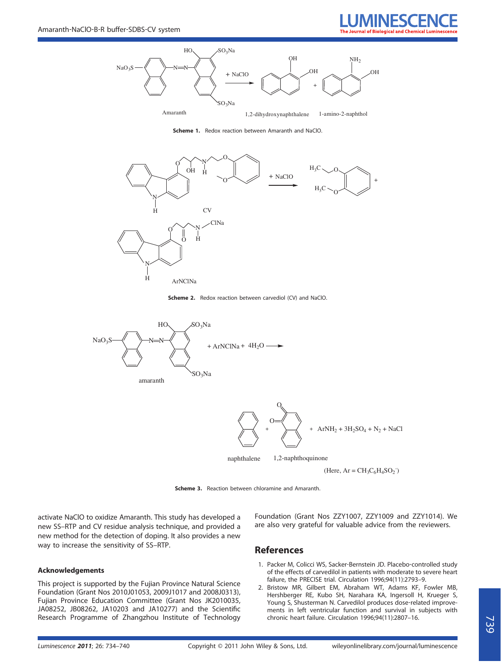



Scheme 1. Redox reaction between Amaranth and NaClO.



Scheme 2. Redox reaction between carvediol (CV) and NaClO.



Scheme 3. Reaction between chloramine and Amaranth.

activate NaClO to oxidize Amaranth. This study has developed a new SS–RTP and CV residue analysis technique, and provided a new method for the detection of doping. It also provides a new way to increase the sensitivity of SS–RTP.

#### Acknowledgements

This project is supported by the Fujian Province Natural Science Foundation (Grant Nos 2010J01053, 2009J1017 and 2008J0313), Fujian Province Education Committee (Grant Nos JK2010035, JA08252, JB08262, JA10203 and JA10277) and the Scientific Research Programme of Zhangzhou Institute of Technology Foundation (Grant Nos ZZY1007, ZZY1009 and ZZY1014). We are also very grateful for valuable advice from the reviewers.

## References

- 1. Packer M, Colicci WS, Sacker‐Bernstein JD. Placebo‐controlled study of the effects of carvedilol in patients with moderate to severe heart failure, the PRECISE trial. Circulation 1996;94(11):2793–9.
- 2. Bristow MR, Gilbert EM, Abraham WT, Adams KF, Fowler MB, Hershberger RE, Kubo SH, Narahara KA, Ingersoll H, Krueger S, Young S, Shusterman N. Carvedilol produces dose-related improvements in left ventricular function and survival in subjects with chronic heart failure. Circulation 1996;94(11):2807–16.